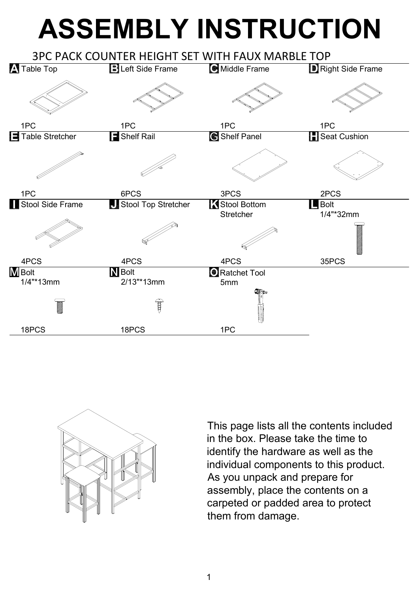## **ASSEMBLY INSTRUCTION**





This page lists all the contents included in the box. Please take the time to identify the hardware as well as the individual components to this product. As you unpack and prepare for assembly, place the contents on a carpeted or padded area to protect them from damage.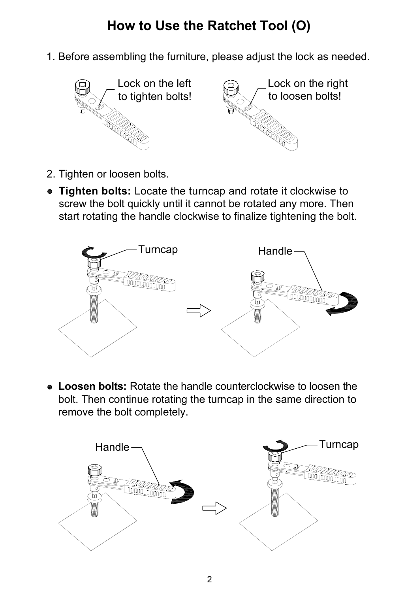## **How to Use the Ratchet Tool (O)**

1. Before assembling the furniture, please adjust the lock as needed.



- 2. Tighten or loosen bolts.
- **Tighten bolts:** Locate the turncap and rotate it clockwise to screw the bolt quickly until it cannot be rotated any more. Then start rotating the handle clockwise to finalize tightening the bolt.



 **Loosen bolts:** Rotate the handle counterclockwise to loosen the bolt. Then continue rotating the turncap in the same direction to remove the bolt completely.

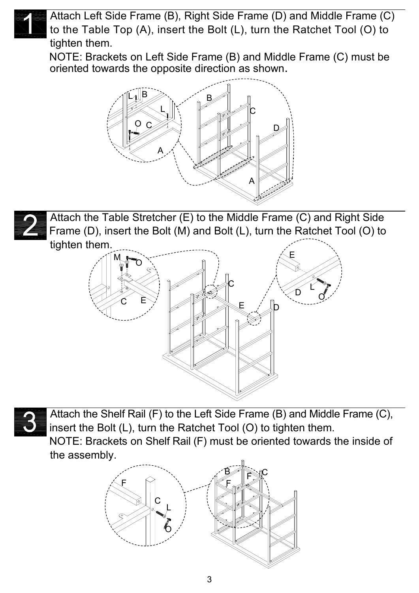

Attach Left Side Frame (B), Right Side Frame (D) and Middle Frame (C) to the Table Top (A), insert the Bolt (L), turn the Ratchet Tool (O) to tighten them.

NOTE: Brackets on Left Side Frame (B) and Middle Frame (C) must be oriented towards the opposite direction as shown.





Attach the Table Stretcher (E) to the Middle Frame (C) and Right Side Frame (D), insert the Bolt (M) and Bolt (L), turn the Ratchet Tool (O) to tighten them.





Attach the Shelf Rail (F) to the Left Side Frame (B) and Middle Frame (C), insert the Bolt (L), turn the Ratchet Tool (O) to tighten them. NOTE: Brackets on Shelf Rail (F) must be oriented towards the inside of the assembly.